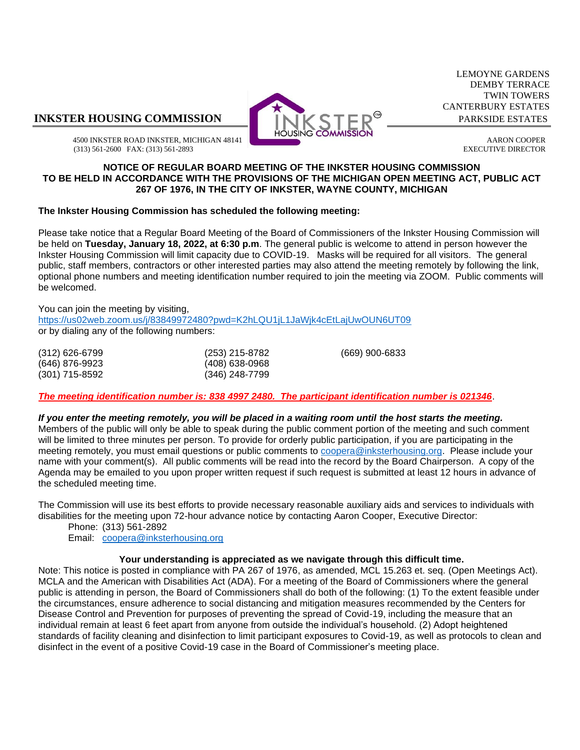## **INKSTER HOUSING COMMISSION INKLEY CITED**<sup><sup>®</sup> PARKSIDE ESTATES</sup>



LEMOYNE GARDENS DEMBY TERRACE TWIN TOWERS CANTERBURY ESTATES

4500 INKSTER ROAD INKSTER, MICHIGAN 48141 **ARON COOPER** AARON COOPER (313) 561-2600 FAX: (313) 561-2893 EXECUTIVE DIRECTOR

#### **NOTICE OF REGULAR BOARD MEETING OF THE INKSTER HOUSING COMMISSION TO BE HELD IN ACCORDANCE WITH THE PROVISIONS OF THE MICHIGAN OPEN MEETING ACT, PUBLIC ACT 267 OF 1976, IN THE CITY OF INKSTER, WAYNE COUNTY, MICHIGAN**

### **The Inkster Housing Commission has scheduled the following meeting:**

Please take notice that a Regular Board Meeting of the Board of Commissioners of the Inkster Housing Commission will be held on **Tuesday, January 18, 2022, at 6:30 p.m**. The general public is welcome to attend in person however the Inkster Housing Commission will limit capacity due to COVID-19. Masks will be required for all visitors. The general public, staff members, contractors or other interested parties may also attend the meeting remotely by following the link, optional phone numbers and meeting identification number required to join the meeting via ZOOM. Public comments will be welcomed.

(669) 900-6833

You can join the meeting by visiting, <https://us02web.zoom.us/j/83849972480?pwd=K2hLQU1jL1JaWjk4cEtLajUwOUN6UT09> or by dialing any of the following numbers:

| $(312)$ 626-6799 | (253) 215-8782 |
|------------------|----------------|
| (646) 876-9923   | (408) 638-0968 |
| (301) 715-8592   | (346) 248-7799 |

*The meeting identification number is: 838 4997 2480. The participant identification number is 021346*.

### *If you enter the meeting remotely, you will be placed in a waiting room until the host starts the meeting.*

Members of the public will only be able to speak during the public comment portion of the meeting and such comment will be limited to three minutes per person. To provide for orderly public participation, if you are participating in the meeting remotely, you must email questions or public comments to [coopera@inksterhousing.org.](mailto:coopera@inksterhousing.org) Please include your name with your comment(s). All public comments will be read into the record by the Board Chairperson. A copy of the Agenda may be emailed to you upon proper written request if such request is submitted at least 12 hours in advance of the scheduled meeting time.

The Commission will use its best efforts to provide necessary reasonable auxiliary aids and services to individuals with disabilities for the meeting upon 72-hour advance notice by contacting Aaron Cooper, Executive Director:

Phone: (313) 561-2892

Email: [coopera@inksterhousing.org](mailto:coopera@inksterhousing.org)

### **Your understanding is appreciated as we navigate through this difficult time.**

Note: This notice is posted in compliance with PA 267 of 1976, as amended, MCL 15.263 et. seq. (Open Meetings Act). MCLA and the American with Disabilities Act (ADA). For a meeting of the Board of Commissioners where the general public is attending in person, the Board of Commissioners shall do both of the following: (1) To the extent feasible under the circumstances, ensure adherence to social distancing and mitigation measures recommended by the Centers for Disease Control and Prevention for purposes of preventing the spread of Covid-19, including the measure that an individual remain at least 6 feet apart from anyone from outside the individual's household. (2) Adopt heightened standards of facility cleaning and disinfection to limit participant exposures to Covid-19, as well as protocols to clean and disinfect in the event of a positive Covid-19 case in the Board of Commissioner's meeting place.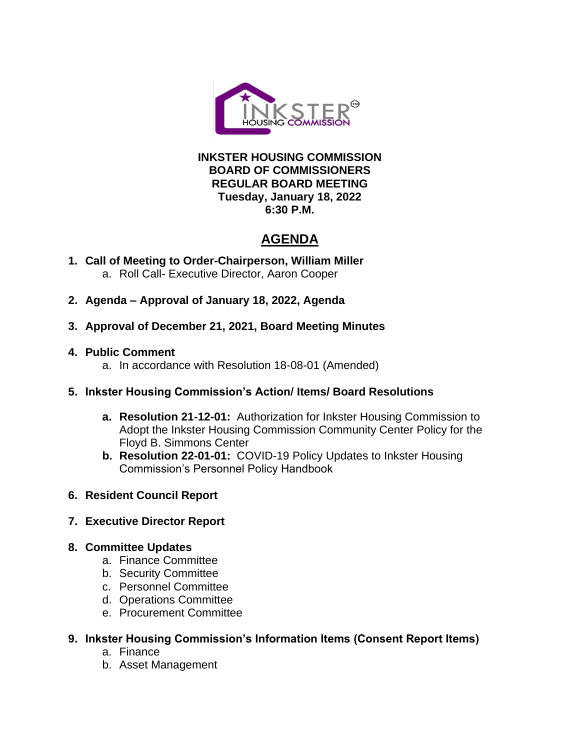

## **INKSTER HOUSING COMMISSION BOARD OF COMMISSIONERS REGULAR BOARD MEETING Tuesday, January 18, 2022 6:30 P.M.**

# **AGENDA**

- **1. Call of Meeting to Order-Chairperson, William Miller** a. Roll Call- Executive Director, Aaron Cooper
- **2. Agenda – Approval of January 18, 2022, Agenda**
- **3. Approval of December 21, 2021, Board Meeting Minutes**
- **4. Public Comment**
	- a. In accordance with Resolution 18-08-01 (Amended)
- **5. Inkster Housing Commission's Action/ Items/ Board Resolutions**
	- **a. Resolution 21-12-01:** Authorization for Inkster Housing Commission to Adopt the Inkster Housing Commission Community Center Policy for the Floyd B. Simmons Center
	- **b. Resolution 22-01-01:** COVID-19 Policy Updates to Inkster Housing Commission's Personnel Policy Handbook
- **6. Resident Council Report**
- **7. Executive Director Report**
- **8. Committee Updates**
	- a. Finance Committee
	- b. Security Committee
	- c. Personnel Committee
	- d. Operations Committee
	- e. Procurement Committee
- **9. Inkster Housing Commission's Information Items (Consent Report Items)**
	- a. Finance
	- b. Asset Management